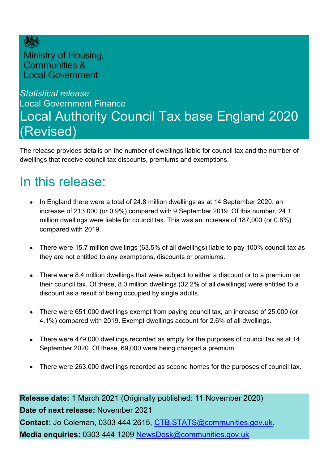

Ministry of Housing, Communities & **Local Government** 

### *Statistical release*  Local Government Finance Local Authority Council Tax base England 2020 (Revised)

The release provides details on the number of dwellings liable for council tax and the number of dwellings that receive council tax discounts, premiums and exemptions.

### <span id="page-0-0"></span>In this release:

- In England there were a total of 24.8 million dwellings as at 14 September 2020, an increase of 213,000 (or 0.9%) compared with 9 September 2019. Of this number, 24.1 million dwellings were liable for council tax. This was an increase of 187,000 (or 0.8%) compared with 2019.
- There were 15.7 million dwellings (63.5% of all dwellings) liable to pay 100% council tax as they are not entitled to any exemptions, discounts or premiums.
- There were 8.4 million dwellings that were subject to either a discount or to a premium on their council tax. Of these, 8.0 million dwellings (32.2% of all dwellings) were entitled to a discount as a result of being occupied by single adults.
- There were 651,000 dwellings exempt from paying council tax, an increase of 25,000 (or 4.1%) compared with 2019. Exempt dwellings account for 2.6% of all dwellings.
- There were 479,000 dwellings recorded as empty for the purposes of council tax as at 14 September 2020. Of these, 69,000 were being charged a premium.
- There were 263,000 dwellings recorded as second homes for the purposes of council tax.

**Release date:** 1 March 2021 (Originally published: 11 November 2020) **Date of next release:** November 2021 **Contact:** Jo Coleman, 0303 444 2615, [CTB.STATS@communities.gov.uk,](mailto:CTB.STATS@communities.gov.uk) **Media enquiries:** 0303 444 1209 [NewsDesk@communities.gov.uk](mailto:NewsDesk@communities.gov.uk)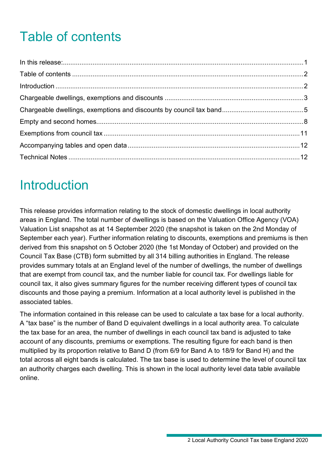# <span id="page-1-0"></span>Table of contents

## <span id="page-1-1"></span>Introduction

This release provides information relating to the stock of domestic dwellings in local authority areas in England. The total number of dwellings is based on the Valuation Office Agency (VOA) Valuation List snapshot as at 14 September 2020 (the snapshot is taken on the 2nd Monday of September each year). Further information relating to discounts, exemptions and premiums is then derived from this snapshot on 5 October 2020 (the 1st Monday of October) and provided on the Council Tax Base (CTB) form submitted by all 314 billing authorities in England. The release provides summary totals at an England level of the number of dwellings, the number of dwellings that are exempt from council tax, and the number liable for council tax. For dwellings liable for council tax, it also gives summary figures for the number receiving different types of council tax discounts and those paying a premium. Information at a local authority level is published in the associated tables.

The information contained in this release can be used to calculate a tax base for a local authority. A "tax base" is the number of Band D equivalent dwellings in a local authority area. To calculate the tax base for an area, the number of dwellings in each council tax band is adjusted to take account of any discounts, premiums or exemptions. The resulting figure for each band is then multiplied by its proportion relative to Band D (from 6/9 for Band A to 18/9 for Band H) and the total across all eight bands is calculated. The tax base is used to determine the level of council tax an authority charges each dwelling. This is shown in the local authority level data table available online.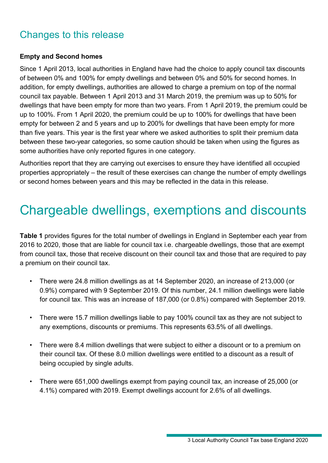### Changes to this release

#### **Empty and Second homes**

Since 1 April 2013, local authorities in England have had the choice to apply council tax discounts of between 0% and 100% for empty dwellings and between 0% and 50% for second homes. In addition, for empty dwellings, authorities are allowed to charge a premium on top of the normal council tax payable. Between 1 April 2013 and 31 March 2019, the premium was up to 50% for dwellings that have been empty for more than two years. From 1 April 2019, the premium could be up to 100%. From 1 April 2020, the premium could be up to 100% for dwellings that have been empty for between 2 and 5 years and up to 200% for dwellings that have been empty for more than five years. This year is the first year where we asked authorities to split their premium data between these two-year categories, so some caution should be taken when using the figures as some authorities have only reported figures in one category.

Authorities report that they are carrying out exercises to ensure they have identified all occupied properties appropriately – the result of these exercises can change the number of empty dwellings or second homes between years and this may be reflected in the data in this release.

### <span id="page-2-0"></span>Chargeable dwellings, exemptions and discounts

**Table 1** provides figures for the total number of dwellings in England in September each year from 2016 to 2020, those that are liable for council tax i.e. chargeable dwellings, those that are exempt from council tax, those that receive discount on their council tax and those that are required to pay a premium on their council tax.

- There were 24.8 million dwellings as at 14 September 2020, an increase of 213,000 (or 0.9%) compared with 9 September 2019. Of this number, 24.1 million dwellings were liable for council tax. This was an increase of 187,000 (or 0.8%) compared with September 2019.
- There were 15.7 million dwellings liable to pay 100% council tax as they are not subject to any exemptions, discounts or premiums. This represents 63.5% of all dwellings.
- There were 8.4 million dwellings that were subject to either a discount or to a premium on their council tax. Of these 8.0 million dwellings were entitled to a discount as a result of being occupied by single adults.
- There were 651,000 dwellings exempt from paying council tax, an increase of 25,000 (or 4.1%) compared with 2019. Exempt dwellings account for 2.6% of all dwellings.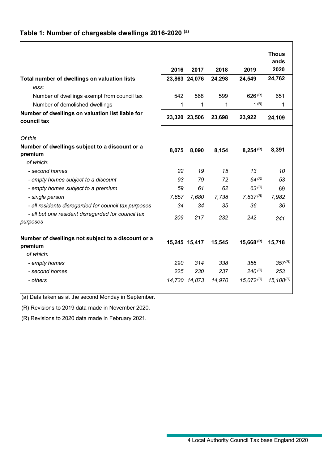#### **Table 1: Number of chargeable dwellings 2016-2020 (a)**

|                                                                 |       |               |        |                         | <b>Thous</b><br>ands    |
|-----------------------------------------------------------------|-------|---------------|--------|-------------------------|-------------------------|
|                                                                 | 2016  | 2017          | 2018   | 2019                    | 2020                    |
| Total number of dwellings on valuation lists<br>less:           |       | 23,863 24,076 | 24,298 | 24,549                  | 24,762                  |
| Number of dwellings exempt from council tax                     | 542   | 568           | 599    | 626 (R)                 | 651                     |
| Number of demolished dwellings                                  | 1     | 1             | 1      | 1 <sup>(R)</sup>        | 1                       |
| Number of dwellings on valuation list liable for<br>council tax |       | 23,320 23,506 | 23,698 | 23,922                  | 24,109                  |
| Of this                                                         |       |               |        |                         |                         |
| Number of dwellings subject to a discount or a<br>premium       | 8,075 | 8,090         | 8,154  | 8,254 (R)               | 8,391                   |
| of which:                                                       |       |               |        |                         |                         |
| - second homes                                                  | 22    | 19            | 15     | 13                      | 10                      |
| - empty homes subject to a discount                             | 93    | 79            | 72     | 64 $(R)$                | 53                      |
| - empty homes subject to a premium                              | 59    | 61            | 62     | 63 (R)                  | 69                      |
| - single person                                                 | 7,657 | 7,680         | 7,738  | 7,837(R)                | 7,982                   |
| - all residents disregarded for council tax purposes            | 34    | 34            | 35     | 36                      | 36                      |
| - all but one resident disregarded for council tax<br>purposes  | 209   | 217           | 232    | 242                     | 241                     |
| Number of dwellings not subject to a discount or a<br>premium   |       | 15,245 15,417 | 15,545 | $15,668$ <sup>(R)</sup> | 15,718                  |
| of which:                                                       |       |               |        |                         |                         |
| - empty homes                                                   | 290   | 314           | 338    | 356                     | $357^{(R)}$             |
| - second homes                                                  | 225   | 230           | 237    | $240^{(R)}$             | 253                     |
| - others                                                        |       | 14,730 14,873 | 14,970 | $15.072$ <sup>(R)</sup> | $15,108$ <sup>(R)</sup> |

(a) Data taken as at the second Monday in September.

(R) Revisions to 2019 data made in November 2020.

(R) Revisions to 2020 data made in February 2021.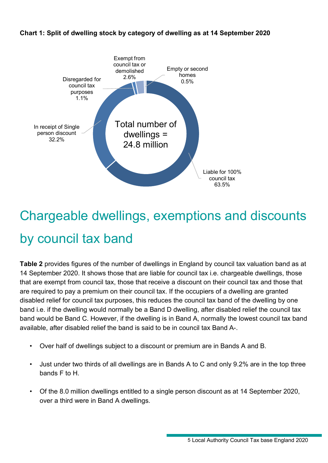



# <span id="page-4-0"></span>Chargeable dwellings, exemptions and discounts by council tax band

**Table 2** provides figures of the number of dwellings in England by council tax valuation band as at 14 September 2020. It shows those that are liable for council tax i.e. chargeable dwellings, those that are exempt from council tax, those that receive a discount on their council tax and those that are required to pay a premium on their council tax. If the occupiers of a dwelling are granted disabled relief for council tax purposes, this reduces the council tax band of the dwelling by one band i.e. if the dwelling would normally be a Band D dwelling, after disabled relief the council tax band would be Band C. However, if the dwelling is in Band A, normally the lowest council tax band available, after disabled relief the band is said to be in council tax Band A-.

- Over half of dwellings subject to a discount or premium are in Bands A and B.
- Just under two thirds of all dwellings are in Bands A to C and only 9.2% are in the top three bands F to H.
- Of the 8.0 million dwellings entitled to a single person discount as at 14 September 2020, over a third were in Band A dwellings.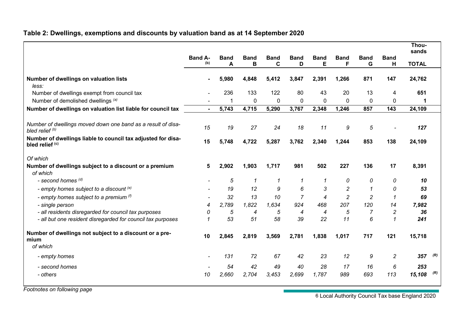#### **Table 2: Dwellings, exemptions and discounts by valuation band as at 14 September 2020**

|                                                                                            |                       |                  |                  |                  |                  |                  |                  |                  |                  | Thou-<br>sands |     |
|--------------------------------------------------------------------------------------------|-----------------------|------------------|------------------|------------------|------------------|------------------|------------------|------------------|------------------|----------------|-----|
|                                                                                            | <b>Band A-</b><br>(b) | <b>Band</b><br>A | <b>Band</b><br>B | <b>Band</b><br>C | <b>Band</b><br>D | <b>Band</b><br>Е | <b>Band</b><br>F | <b>Band</b><br>G | <b>Band</b><br>Н | <b>TOTAL</b>   |     |
|                                                                                            |                       |                  |                  |                  |                  |                  |                  |                  |                  |                |     |
| Number of dwellings on valuation lists<br>less:                                            |                       | 5,980            | 4,848            | 5,412            | 3,847            | 2,391            | 1,266            | 871              | 147              | 24,762         |     |
| Number of dwellings exempt from council tax                                                |                       | 236              | 133              | 122              | 80               | 43               | 20               | 13               | 4                | 651            |     |
| Number of demolished dwellings (a)                                                         |                       | 1                | $\mathbf{0}$     | $\mathbf{0}$     | $\mathbf{0}$     | $\Omega$         | $\mathbf{0}$     | 0                | 0                |                |     |
| Number of dwellings on valuation list liable for council tax                               | $\blacksquare$        | 5,743            | 4,715            | 5,290            | 3,767            | 2,348            | 1,246            | 857              | 143              | 24,109         |     |
|                                                                                            |                       |                  |                  |                  |                  |                  |                  |                  |                  |                |     |
| Number of dwellings moved down one band as a result of disa-<br>bled relief <sup>(b)</sup> | 15                    | 19               | 27               | 24               | 18               | 11               | 9                | $\sqrt{5}$       |                  | 127            |     |
| Number of dwellings liable to council tax adjusted for disa-<br>bled relief (c)            | 15                    | 5,748            | 4,722            | 5,287            | 3,762            | 2,340            | 1,244            | 853              | 138              | 24,109         |     |
| Of which                                                                                   |                       |                  |                  |                  |                  |                  |                  |                  |                  |                |     |
| Number of dwellings subject to a discount or a premium                                     | 5                     | 2,902            | 1,903            | 1,717            | 981              | 502              | 227              | 136              | 17               | 8,391          |     |
| of which                                                                                   |                       |                  |                  |                  |                  |                  |                  |                  |                  |                |     |
| - second homes (d)                                                                         |                       | 5                | $\mathcal I$     | 1                | $\mathcal I$     | 1                | 0                | 0                | 0                | 10             |     |
| - empty homes subject to a discount (e)                                                    |                       | 19               | 12               | 9                | 6                | 3                | 2                | $\mathcal I$     | 0                | 53             |     |
| - empty homes subject to a premium $(1)$                                                   |                       | 32               | 13               | 10               | $\overline{7}$   | 4                | $\overline{c}$   | $\overline{c}$   | $\mathcal I$     | 69             |     |
| - single person                                                                            | 4                     | 2,789            | 1,822            | 1.634            | 924              | 468              | 207              | 120              | 14               | 7,982          |     |
| - all residents disregarded for council tax purposes                                       | 0                     | 5                | 4                | 5                | 4                | 4                | 5                | $\overline{7}$   | $\overline{c}$   | 36             |     |
| - all but one resident disregarded for council tax purposes                                | 1                     | 53               | 51               | 58               | 39               | 22               | 11               | 6                | $\mathbf{1}$     | 241            |     |
| Number of dwellings not subject to a discount or a pre-<br>mium                            | 10                    | 2,845            | 2,819            | 3,569            | 2,781            | 1,838            | 1,017            | 717              | 121              | 15,718         |     |
| of which                                                                                   |                       |                  |                  |                  |                  |                  |                  |                  |                  |                |     |
| - empty homes                                                                              |                       | 131              | 72               | 67               | 42               | 23               | 12               | 9                | $\overline{c}$   | 357            | (R) |
| - second homes                                                                             |                       | 54               | 42               | 49               | 40               | 28               | 17               | 16               | 6                | 253            |     |
| - others                                                                                   | 10                    | 2,660            | 2,704            | 3,453            | 2,699            | 1,787            | 989              | 693              | 113              | 15,108         | (R) |

*Footnotes on following page*

6 Local Authority Council Tax base England 2020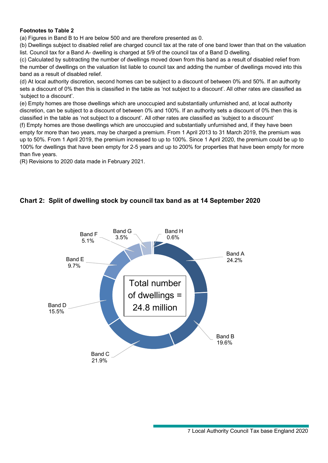#### **Footnotes to Table 2**

(a) Figures in Band B to H are below 500 and are therefore presented as 0.

(b) Dwellings subject to disabled relief are charged council tax at the rate of one band lower than that on the valuation list. Council tax for a Band A- dwelling is charged at 5/9 of the council tax of a Band D dwelling.

(c) Calculated by subtracting the number of dwellings moved down from this band as a result of disabled relief from the number of dwellings on the valuation list liable to council tax and adding the number of dwellings moved into this band as a result of disabled relief.

(d) At local authority discretion, second homes can be subject to a discount of between 0% and 50%. If an authority sets a discount of 0% then this is classified in the table as 'not subject to a discount'. All other rates are classified as 'subject to a discount'.

(e) Empty homes are those dwellings which are unoccupied and substantially unfurnished and, at local authority discretion, can be subject to a discount of between 0% and 100%. If an authority sets a discount of 0% then this is classified in the table as 'not subject to a discount'. All other rates are classified as 'subject to a discount' (f) Empty homes are those dwellings which are unoccupied and substantially unfurnished and, if they have been empty for more than two years, may be charged a premium. From 1 April 2013 to 31 March 2019, the premium was up to 50%. From 1 April 2019, the premium increased to up to 100%. Since 1 April 2020, the premium could be up to 100% for dwellings that have been empty for 2-5 years and up to 200% for properties that have been empty for more than five years.

(R) Revisions to 2020 data made in February 2021.

#### **Chart 2: Split of dwelling stock by council tax band as at 14 September 2020**

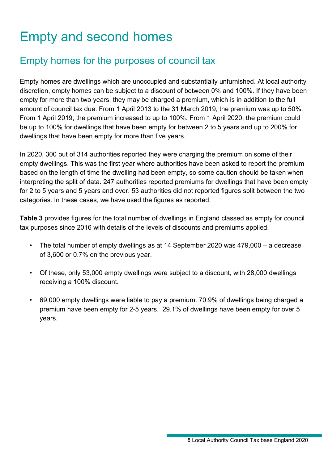# <span id="page-7-0"></span>Empty and second homes

### Empty homes for the purposes of council tax

Empty homes are dwellings which are unoccupied and substantially unfurnished. At local authority discretion, empty homes can be subject to a discount of between 0% and 100%. If they have been empty for more than two years, they may be charged a premium, which is in addition to the full amount of council tax due. From 1 April 2013 to the 31 March 2019, the premium was up to 50%. From 1 April 2019, the premium increased to up to 100%. From 1 April 2020, the premium could be up to 100% for dwellings that have been empty for between 2 to 5 years and up to 200% for dwellings that have been empty for more than five years.

In 2020, 300 out of 314 authorities reported they were charging the premium on some of their empty dwellings. This was the first year where authorities have been asked to report the premium based on the length of time the dwelling had been empty, so some caution should be taken when interpreting the split of data. 247 authorities reported premiums for dwellings that have been empty for 2 to 5 years and 5 years and over. 53 authorities did not reported figures split between the two categories. In these cases, we have used the figures as reported.

**Table 3** provides figures for the total number of dwellings in England classed as empty for council tax purposes since 2016 with details of the levels of discounts and premiums applied.

- The total number of empty dwellings as at 14 September 2020 was 479,000 a decrease of 3,600 or 0.7% on the previous year.
- Of these, only 53,000 empty dwellings were subject to a discount, with 28,000 dwellings receiving a 100% discount.
- 69,000 empty dwellings were liable to pay a premium. 70.9% of dwellings being charged a premium have been empty for 2-5 years. 29.1% of dwellings have been empty for over 5 years.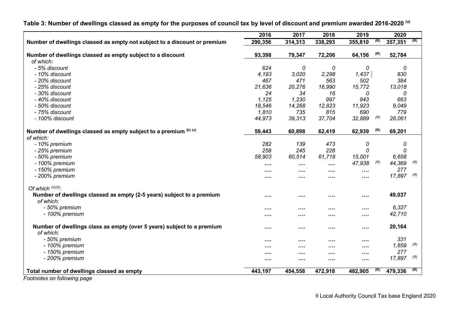|                                                                                     | 2016     | 2017    | 2018     | 2019     |     | 2020    |     |
|-------------------------------------------------------------------------------------|----------|---------|----------|----------|-----|---------|-----|
| Number of dwellings classed as empty not subject to a discount or premium           | 290,356  | 314,313 | 338,293  | 355,810  | (R) | 357,351 | (R) |
| Number of dwellings classed as empty subject to a discount                          | 93,398   | 79,347  | 72,206   | 64,156   | (R) | 52,784  |     |
| of which:                                                                           |          |         |          |          |     |         |     |
| - 5% discount                                                                       | 624      | 0       | 0        | 0        |     | 0       |     |
| - 10% discount                                                                      | 4,193    | 3,020   | 2,298    | 1,437    |     | 830     |     |
| - 20% discount                                                                      | 467      | 471     | 563      | 502      |     | 384     |     |
| - 25% discount                                                                      | 21,636   | 20,276  | 16,990   | 15,772   |     | 13,018  |     |
| - 30% discount                                                                      | 24       | 34      | 16       | 0        |     | 0       |     |
| - 40% discount                                                                      | 1.125    | 1,230   | 997      | 943      |     | 663     |     |
| - 50% discount                                                                      | 18,546   | 14,268  | 12,823   | 11,923   |     | 9,049   |     |
| - 75% discount                                                                      | 1,810    | 735     | 815      | 690      |     | 779     |     |
| - 100% discount                                                                     | 44,973   | 39,313  | 37,704   | 32,889   | (R) | 28,061  |     |
| Number of dwellings classed as empty subject to a premium (b) (c)                   | 59,443   | 60,898  | 62,419   | 62,939   | (R) | 69,201  |     |
| of which:                                                                           |          |         |          |          |     |         |     |
| - 10% premium                                                                       | 282      | 139     | 473      | 0        |     | 0       |     |
| - 25% premium                                                                       | 258      | 245     | 228      | 0        |     | 0       |     |
| - 50% premium                                                                       | 58,903   | 60,514  | 61,718   | 15,001   |     | 6,658   |     |
| - 100% premium                                                                      | $\cdots$ |         | $\cdots$ | 47,938   | (R) | 44,369  | (R) |
| - 150% premium                                                                      |          | .       |          | $\cdots$ |     | 277     |     |
| - 200% premium                                                                      |          |         |          |          |     | 17,897  | (R) |
| Of which $(c)(d)$ :                                                                 |          |         |          |          |     |         |     |
| Number of dwellings classed as empty (2-5 years) subject to a premium               | $\cdots$ |         | $\cdots$ |          |     | 49,037  |     |
| of which:                                                                           |          |         |          |          |     |         |     |
| - 50% premium                                                                       | $\cdots$ |         | $\cdots$ | .        |     | 6,327   |     |
| - 100% premium                                                                      |          |         | $\cdots$ |          |     | 42,710  |     |
| Number of dwellings class as empty (over 5 years) subject to a premium<br>of which: | $\cdots$ |         | $\cdots$ |          |     | 20,164  |     |
| - 50% premium                                                                       |          |         |          |          |     | 331     |     |
| - 100% premium                                                                      |          | .       |          |          |     | 1,659   | (R) |
| - 150% premium                                                                      |          |         |          |          |     | 277     |     |
| - 200% premium                                                                      |          |         |          |          |     | 17,897  | (R) |
|                                                                                     |          |         |          |          |     |         |     |
| Total number of dwellings classed as empty                                          | 443,197  | 454,558 | 472,918  | 482,905  | (R) | 479,336 | (R) |

**Table 3: Number of dwellings classed as empty for the purposes of council tax by level of discount and premium awarded 2016-2020 (a)**

*Footnotes on following page*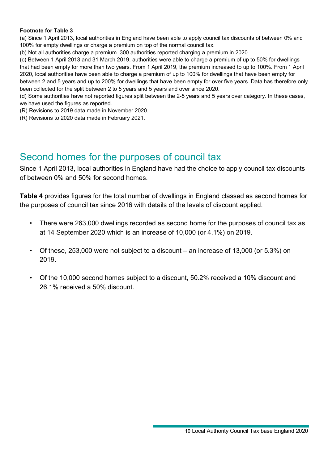#### **Footnote for Table 3**

(a) Since 1 April 2013, local authorities in England have been able to apply council tax discounts of between 0% and 100% for empty dwellings or charge a premium on top of the normal council tax.

(b) Not all authorities charge a premium. 300 authorities reported charging a premium in 2020.

(c) Between 1 April 2013 and 31 March 2019, authorities were able to charge a premium of up to 50% for dwellings that had been empty for more than two years. From 1 April 2019, the premium increased to up to 100%. From 1 April 2020, local authorities have been able to charge a premium of up to 100% for dwellings that have been empty for between 2 and 5 years and up to 200% for dwellings that have been empty for over five years. Data has therefore only been collected for the split between 2 to 5 years and 5 years and over since 2020.

(d) Some authorities have not reported figures split between the 2-5 years and 5 years over category. In these cases, we have used the figures as reported.

(R) Revisions to 2019 data made in November 2020.

(R) Revisions to 2020 data made in February 2021.

#### Second homes for the purposes of council tax

Since 1 April 2013, local authorities in England have had the choice to apply council tax discounts of between 0% and 50% for second homes.

**Table 4** provides figures for the total number of dwellings in England classed as second homes for the purposes of council tax since 2016 with details of the levels of discount applied.

- There were 263,000 dwellings recorded as second home for the purposes of council tax as at 14 September 2020 which is an increase of 10,000 (or 4.1%) on 2019.
- Of these, 253,000 were not subject to a discount an increase of 13,000 (or 5.3%) on 2019.
- Of the 10,000 second homes subject to a discount, 50.2% received a 10% discount and 26.1% received a 50% discount.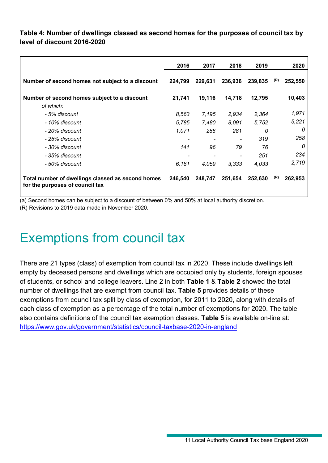#### **Table 4: Number of dwellings classed as second homes for the purposes of council tax by level of discount 2016-2020**

|                                                                                      | 2016    | 2017    | 2018    | 2019    |     | 2020    |
|--------------------------------------------------------------------------------------|---------|---------|---------|---------|-----|---------|
| Number of second homes not subject to a discount                                     | 224,799 | 229,631 | 236,936 | 239,835 | (R) | 252,550 |
| Number of second homes subject to a discount                                         | 21,741  | 19,116  | 14,718  | 12,795  |     | 10,403  |
| of which:                                                                            |         |         |         |         |     |         |
| - 5% discount                                                                        | 8,563   | 7,195   | 2,934   | 2,364   |     | 1,971   |
| - 10% discount                                                                       | 5,785   | 7,480   | 8,091   | 5,752   |     | 5,221   |
| - 20% discount                                                                       | 1,071   | 286     | 281     | 0       |     | 0       |
| - 25% discount                                                                       |         |         |         | 319     |     | 258     |
| - 30% discount                                                                       | 141     | 96      | 79      | 76      |     | 0       |
| - 35% discount                                                                       |         |         |         | 251     |     | 234     |
| - 50% discount                                                                       | 6,181   | 4,059   | 3,333   | 4,033   |     | 2,719   |
| Total number of dwellings classed as second homes<br>for the purposes of council tax | 246,540 | 248,747 | 251,654 | 252,630 | (R) | 262,953 |

(a) Second homes can be subject to a discount of between 0% and 50% at local authority discretion. (R) Revisions to 2019 data made in November 2020.

### <span id="page-10-0"></span>Exemptions from council tax

There are 21 types (class) of exemption from council tax in 2020. These include dwellings left empty by deceased persons and dwellings which are occupied only by students, foreign spouses of students, or school and college leavers. Line 2 in both **Table 1** & **Table 2** showed the total number of dwellings that are exempt from council tax. **Table 5** provides details of these exemptions from council tax split by class of exemption, for 2011 to 2020, along with details of each class of exemption as a percentage of the total number of exemptions for 2020. The table also contains definitions of the council tax exemption classes. **Table 5** is available on-line at: <https://www.gov.uk/government/statistics/council-taxbase-2020-in-england>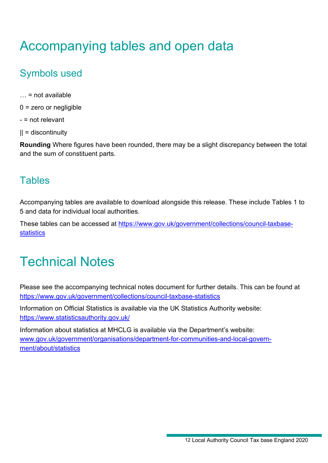# <span id="page-11-0"></span>Accompanying tables and open data

### Symbols used

- $\ldots$  = not available
- $0 =$  zero or negligible
- = not relevant
- $|| =$  discontinuity

**Rounding** Where figures have been rounded, there may be a slight discrepancy between the total and the sum of constituent parts.

### **Tables**

Accompanying tables are available to download alongside this release. These include Tables 1 to 5 and data for individual local authorities.

These tables can be accessed at [https://www.gov.uk/government/collections/council-taxbase](https://www.gov.uk/government/collections/council-taxbase-statistics)[statistics](https://www.gov.uk/government/collections/council-taxbase-statistics)

# <span id="page-11-1"></span>Technical Notes

Please see the accompanying technical notes document for further details. This can be found at <https://www.gov.uk/government/collections/council-taxbase-statistics>

Information on Official Statistics is available via the UK Statistics Authority website: <https://www.statisticsauthority.gov.uk/>

Information about statistics at MHCLG is available via the Department's website: [www.gov.uk/government/organisations/department-for-communities-and-local-govern](http://www.gov.uk/government/organisations/department-for-communities-and-local-government/about/statistics)[ment/about/statistics](http://www.gov.uk/government/organisations/department-for-communities-and-local-government/about/statistics)